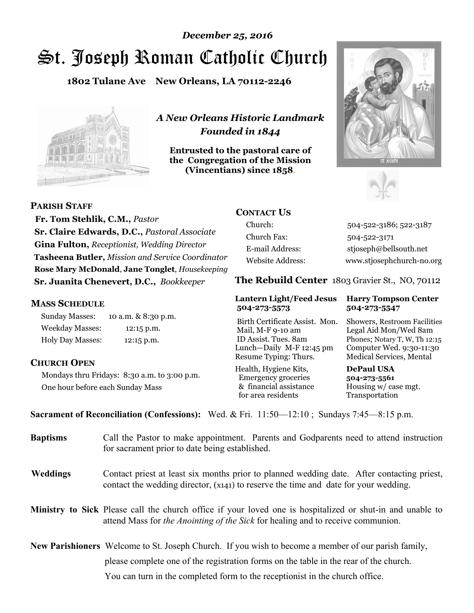# St. Joseph Roman Catholic Church *December 25, 2016*

**1802 Tulane Ave New Orleans, LA 70112-2246**



*A New Orleans Historic Landmark Founded in 1844* 

**Entrusted to the pastoral care of the Congregation of the Mission (Vincentians) since 1858**.





 **Fr. Tom Stehlik, C.M.,** *Pastor* 

**PARISH STAFF**

**Sr. Claire Edwards, D.C.,** *Pastoral Associate* **Gina Fulton,** *Receptionist, Wedding Director* **Tasheena Butler,** *Mission and Service Coordinator* **Rose Mary McDonald**, **Jane Tonglet**, *Housekeeping* **Sr. Juanita Chenevert, D.C.,** *Bookkeeper* 

#### **MASS SCHEDULE**

Sunday Masses: 10 a.m. & 8:30 p.m. Weekday Masses: 12:15 p.m. Holy Day Masses: 12:15 p.m.

### **CHURCH OPEN**

Mondays thru Fridays: 8:30 a.m. to 3:00 p.m. One hour before each Sunday Mass

# **CONTACT US**

Church: 504-522-3186; 522-3187 Church Fax: 504-522-3171 E-mail Address: stjoseph@bellsouth.net Website Address: www.stjosephchurch-no.org

**The Rebuild Center** 1803 Gravier St., NO, 70112

#### **Lantern Light/Feed Jesus Harry Tompson Center 504-273-5573 504-273-5547**

Birth Certificate Assist. Mon. Showers, Restroom Facilities Mail, M-F 9-10 am Legal Aid Mon/Wed 8am ID Assist. Tues. 8am Phones; Notary T, W, Th 12:15 Lunch—Daily M-F 12:45 pm Computer Wed. 9:30-11:30 Resume Typing: Thurs. Medical Services, Mental

Health, Hygiene Kits, **DePaul USA**  Emergency groceries **504-273-5561** & financial assistance Housing w/ case mgt.<br>for area residents Transportation for area residents

**Sacrament of Reconciliation (Confessions):** Wed. & Fri. 11:50—12:10 ; Sundays 7:45—8:15 p.m.

| <b>Baptisms</b> | Call the Pastor to make appointment. Parents and Godparents need to attend instruction<br>for sacrament prior to date being established.                                                     |  |
|-----------------|----------------------------------------------------------------------------------------------------------------------------------------------------------------------------------------------|--|
| <b>Weddings</b> | Contact priest at least six months prior to planned wedding date. After contacting priest,<br>contact the wedding director, (x141) to reserve the time and date for your wedding.            |  |
|                 | Ministry to Sick Please call the church office if your loved one is hospitalized or shut-in and unable to<br>attend Mass for the Anointing of the Sick for healing and to receive communion. |  |
|                 | <b>New Parishioners</b> Welcome to St. Joseph Church. If you wish to become a member of our parish family,                                                                                   |  |
|                 | please complete one of the registration forms on the table in the rear of the church.                                                                                                        |  |
|                 | You can turn in the completed form to the reception is the church office.                                                                                                                    |  |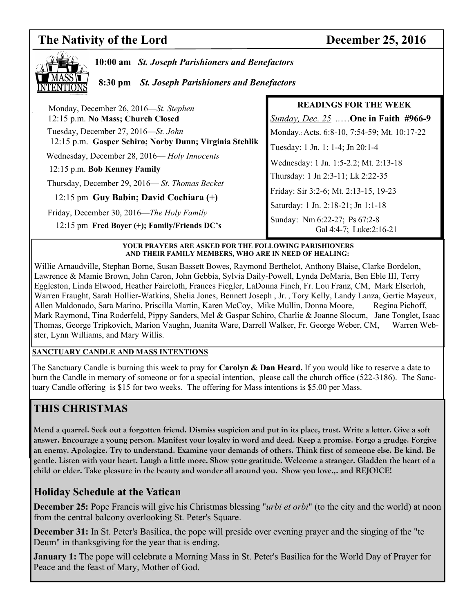# **The Nativity of the Lord December 25, 2016**



**10:00 am** *St. Joseph Parishioners and Benefactors*

 **8:30 pm** *St. Joseph Parishioners and Benefactors*

| Monday, December 26, 2016—St. Stephen                  | <b>READINGS FOR THE WEEK</b>                             |
|--------------------------------------------------------|----------------------------------------------------------|
| 12:15 p.m. No Mass; Church Closed                      | Sunday, Dec. 25 One in Faith #966-9                      |
| Tuesday, December 27, 2016—St. John                    | Monday.: Acts. 6:8-10, 7:54-59; Mt. 10:17-22             |
| 12:15 p.m. Gasper Schiro; Norby Dunn; Virginia Stehlik | Tuesday: 1 Jn. 1: 1-4; Jn 20:1-4                         |
| Wednesday, December 28, 2016-Holy Innocents            | Wednesday: 1 Jn. 1:5-2.2; Mt. 2:13-18                    |
| 12:15 p.m. Bob Kenney Family                           | Thursday: 1 Jn 2:3-11; Lk 2:22-35                        |
| Thursday, December 29, 2016—St. Thomas Becket          |                                                          |
| 12:15 pm Guy Babin; David Cochiara (+)                 | Friday: Sir 3:2-6; Mt. 2:13-15, 19-23                    |
| Friday, December 30, 2016—The Holy Family              | Saturday: 1 Jn. 2:18-21; Jn 1:1-18                       |
| 12:15 pm Fred Boyer (+); Family/Friends DC's           | Sunday: Nm 6:22-27; Ps 67:2-8<br>Gal 4:4-7; Luke:2:16-21 |
|                                                        |                                                          |

**YOUR PRAYERS ARE ASKED FOR THE FOLLOWING PARISHIONERS AND THEIR FAMILY MEMBERS, WHO ARE IN NEED OF HEALING:** 

Willie Arnaudville, Stephan Borne, Susan Bassett Bowes, Raymond Berthelot, Anthony Blaise, Clarke Bordelon, Lawrence & Mamie Brown, John Caron, John Gebbia, Sylvia Daily-Powell, Lynda DeMaria, Ben Eble III, Terry Eggleston, Linda Elwood, Heather Faircloth, Frances Fiegler, LaDonna Finch, Fr. Lou Franz, CM, Mark Elserloh, Warren Fraught, Sarah Hollier-Watkins, Shelia Jones, Bennett Joseph , Jr. , Tory Kelly, Landy Lanza, Gertie Mayeux, Allen Maldonado, Sara Marino, Priscilla Martin, Karen McCoy, Mike Mullin, Donna Moore, Regina Pichoff, Mark Raymond, Tina Roderfeld, Pippy Sanders, Mel & Gaspar Schiro, Charlie & Joanne Slocum, Jane Tonglet, Isaac Thomas, George Tripkovich, Marion Vaughn, Juanita Ware, Darrell Walker, Fr. George Weber, CM, Warren Webster, Lynn Williams, and Mary Willis.

#### **SANCTUARY CANDLE AND MASS INTENTIONS**

The Sanctuary Candle is burning this week to pray for **Carolyn & Dan Heard.** If you would like to reserve a date to burn the Candle in memory of someone or for a special intention, please call the church office (522-3186). The Sanctuary Candle offering is \$15 for two weeks. The offering for Mass intentions is \$5.00 per Mass.

# **THIS CHRISTMAS**

**Mend a quarrel. Seek out a forgotten friend. Dismiss suspicion and put in its place, trust. Write a letter. Give a soft answer. Encourage a young person. Manifest your loyalty in word and deed. Keep a promise. Forgo a grudge. Forgive an enemy. Apologize. Try to understand. Examine your demands of others. Think first of someone else. Be kind. Be gentle. Listen with your heart. Laugh a little more. Show your gratitude. Welcome a stranger. Gladden the heart of a child or elder. Take pleasure in the beauty and wonder all around you. Show you love.,. and REJOICE!** 

# **Holiday Schedule at the Vatican**

**December 25:** Pope Francis will give his Christmas blessing "*urbi et orbi*" (to the city and the world) at noon from the central balcony overlooking St. Peter's Square.

**December 31:** In St. Peter's Basilica, the pope will preside over evening prayer and the singing of the "te Deum" in thanksgiving for the year that is ending.

**January 1:** The pope will celebrate a Morning Mass in St. Peter's Basilica for the World Day of Prayer for Peace and the feast of Mary, Mother of God.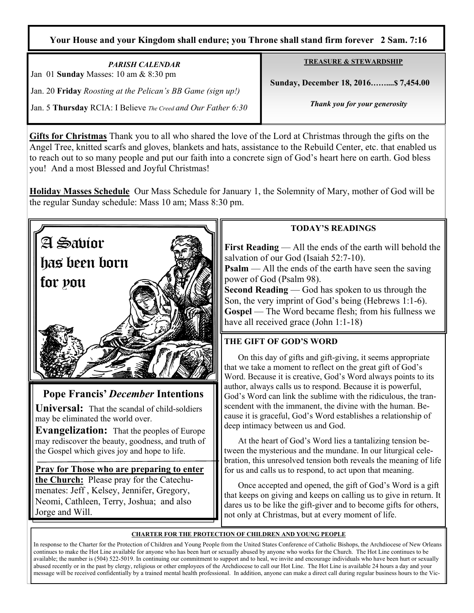### **Your House and your Kingdom shall endure; you Throne shall stand firm forever 2 Sam. 7:16**

*PARISH CALENDAR*  Jan 01 **Sunday** Masses: 10 am & 8:30 pm Jan. 20 **Friday** *Roosting at the Pelican's BB Game (sign up!)*  Jan. 5 **Thursday** RCIA: I Believe *The Creed and Our Father 6:30*  **TREASURE & STEWARDSHIP**

 **Sunday, December 18, 2016……....\$ 7,454.00** 

*Thank you for your generosity* 

**Gifts for Christmas** Thank you to all who shared the love of the Lord at Christmas through the gifts on the Angel Tree, knitted scarfs and gloves, blankets and hats, assistance to the Rebuild Center, etc. that enabled us to reach out to so many people and put our faith into a concrete sign of God's heart here on earth. God bless you! And a most Blessed and Joyful Christmas!

**Holiday Masses Schedule** Our Mass Schedule for January 1, the Solemnity of Mary, mother of God will be the regular Sunday schedule: Mass 10 am; Mass 8:30 pm.



**Evangelization:** That the peoples of Europe may rediscover the beauty, goodness, and truth of the Gospel which gives joy and hope to life.

**Pray for Those who are preparing to enter the Church:** Please pray for the Catechumenates: Jeff , Kelsey, Jennifer, Gregory, Neomi, Cathleen, Terry, Joshua; and also Jorge and Will.

### **TODAY'S READINGS**

**First Reading** — All the ends of the earth will behold the salvation of our God (Isaiah 52:7-10).

**Psalm** — All the ends of the earth have seen the saving power of God (Psalm 98).

**Second Reading** — God has spoken to us through the Son, the very imprint of God's being (Hebrews 1:1-6). **Gospel** — The Word became flesh; from his fullness we have all received grace (John 1:1-18)

### **THE GIFT OF GOD'S WORD**

On this day of gifts and gift-giving, it seems appropriate that we take a moment to reflect on the great gift of God's Word. Because it is creative, God's Word always points to its author, always calls us to respond. Because it is powerful, God's Word can link the sublime with the ridiculous, the transcendent with the immanent, the divine with the human. Because it is graceful, God's Word establishes a relationship of deep intimacy between us and God.

 At the heart of God's Word lies a tantalizing tension between the mysterious and the mundane. In our liturgical celebration, this unresolved tension both reveals the meaning of life for us and calls us to respond, to act upon that meaning.

 Once accepted and opened, the gift of God's Word is a gift that keeps on giving and keeps on calling us to give in return. It dares us to be like the gift-giver and to become gifts for others, not only at Christmas, but at every moment of life.

#### **CHARTER FOR THE PROTECTION OF CHILDREN AND YOUNG PEOPLE**

In response to the Charter for the Protection of Children and Young People from the United States Conference of Catholic Bishops, the Archdiocese of New Orleans continues to make the Hot Line available for anyone who has been hurt or sexually abused by anyone who works for the Church. The Hot Line continues to be available; the number is (504) 522-5019. In continuing our commitment to support and to heal, we invite and encourage individuals who have been hurt or sexually abused recently or in the past by clergy, religious or other employees of the Archdiocese to call our Hot Line. The Hot Line is available 24 hours a day and your message will be received confidentially by a trained mental health professional. In addition, anyone can make a direct call during regular business hours to the Vic-